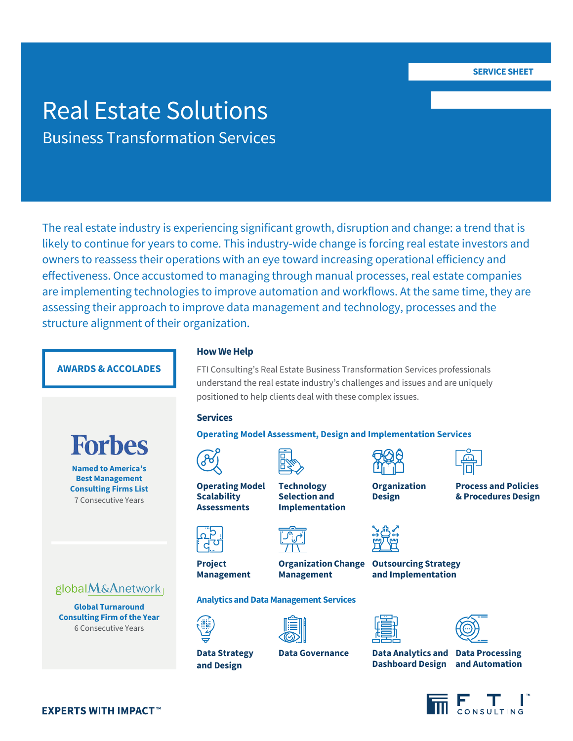# Real Estate Solutions Business Transformation Services

The real estate industry is experiencing significant growth, disruption and change: a trend that is likely to continue for years to come. This industry-wide change is forcing real estate investors and owners to reassess their operations with an eye toward increasing operational efficiency and effectiveness. Once accustomed to managing through manual processes, real estate companies are implementing technologies to improve automation and workflows. At the same time, they are assessing their approach to improve data management and technology, processes and the structure alignment of their organization.

## **AWARDS & ACCOLADES**



**Named to America's Best Management Consulting Firms List**  7 Consecutive Years



**Global Turnaround Consulting Firm of the Year** 6 Consecutive Years

**EXPERTS WITH IMPACT™** 

## **How We Help**

FTI Consulting's Real Estate Business Transformation Services professionals understand the real estate industry's challenges and issues and are uniquely positioned to help clients deal with these complex issues.

#### **Services**

**Operating Model Assessment, Design and Implementation Services**





**Operating Model Scalability Assessments**

**Technology Selection and Implementation**



**Analytics and Data Management Services**



**Project Management** **Management**





**Organization Design**

**Organization Change Outsourcing Strategy and Implementation**





**Dashboard Design and Automation**

**Process and Policies & Procedures Design**



**Data Strategy and Design**

**Data Governance Data Analytics and Data Processing**